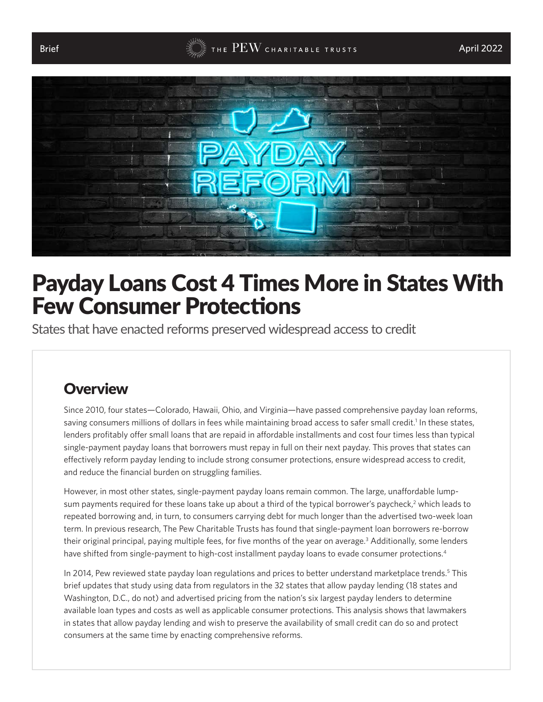<span id="page-0-0"></span>

# Payday Loans Cost 4 Times More in States With Few Consumer Protections

States that have enacted reforms preserved widespread access to credit

#### **Overview**

Since 2010, four states—Colorado, Hawaii, Ohio, and Virginia—have passed comprehensive payday loan reforms, saving consumers millions of dollars in fees while maintaining broad access to safer small credit.<sup>1</sup> In these states, lenders profitably offer small loans that are repaid in affordable installments and cost four times less than typical single-payment payday loans that borrowers must repay in full on their next payday. This proves that states can effectively reform payday lending to include strong consumer protections, ensure widespread access to credit, and reduce the financial burden on struggling families.

However, in most other states, single-payment payday loans remain common. The large, unaffordable lumpsum payments required for these loans take up about a third of the typical borrower's paycheck,<sup>2</sup> which leads to repeated borrowing and, in turn, to consumers carrying debt for much longer than the advertised two-week loan term. In previous research, The Pew Charitable Trusts has found that single-payment loan borrowers re-borrow their original principal, paying multiple fees, for five months of the year on average.[3](#page-9-0) Additionally, some lenders have shifted from single-payment to high-cost installment payday loans to evade consumer protections.<sup>4</sup>

In 2014, Pew reviewed state payday loan regulations and prices to better understand marketplace trends.<sup>5</sup> This brief updates that study using data from regulators in the 32 states that allow payday lending (18 states and Washington, D.C., do not) and advertised pricing from the nation's six largest payday lenders to determine available loan types and costs as well as applicable consumer protections. This analysis shows that lawmakers in states that allow payday lending and wish to preserve the availability of small credit can do so and protect consumers at the same time by enacting comprehensive reforms.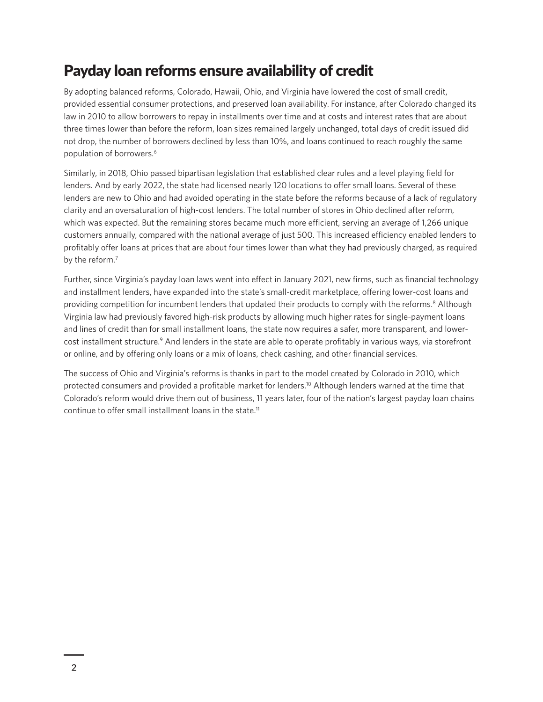# <span id="page-1-0"></span>Payday loan reforms ensure availability of credit

By adopting balanced reforms, Colorado, Hawaii, Ohio, and Virginia have lowered the cost of small credit, provided essential consumer protections, and preserved loan availability. For instance, after Colorado changed its law in 2010 to allow borrowers to repay in installments over time and at costs and interest rates that are about three times lower than before the reform, loan sizes remained largely unchanged, total days of credit issued did not drop, the number of borrowers declined by less than 10%, and loans continued to reach roughly the same population of borrowers[.6](#page-9-0)

Similarly, in 2018, Ohio passed bipartisan legislation that established clear rules and a level playing field for lenders. And by early 2022, the state had licensed nearly 120 locations to offer small loans. Several of these lenders are new to Ohio and had avoided operating in the state before the reforms because of a lack of regulatory clarity and an oversaturation of high-cost lenders. The total number of stores in Ohio declined after reform, which was expected. But the remaining stores became much more efficient, serving an average of 1,266 unique customers annually, compared with the national average of just 500. This increased efficiency enabled lenders to profitably offer loans at prices that are about four times lower than what they had previously charged, as required by the reform.<sup>7</sup>

Further, since Virginia's payday loan laws went into effect in January 2021, new firms, such as financial technology and installment lenders, have expanded into the state's small-credit marketplace, offering lower-cost loans and providing competition for incumbent lenders that updated their products to comply with the reforms.<sup>8</sup> Although Virginia law had previously favored high-risk products by allowing much higher rates for single-payment loans and lines of credit than for small installment loans, the state now requires a safer, more transparent, and lowercost installment structure.<sup>9</sup> And lenders in the state are able to operate profitably in various ways, via storefront or online, and by offering only loans or a mix of loans, check cashing, and other financial services.

The success of Ohio and Virginia's reforms is thanks in part to the model created by Colorado in 2010, which protected consumers and provided a profitable market for lenders.<sup>10</sup> Although lenders warned at the time that Colorado's reform would drive them out of business, 11 years later, four of the nation's largest payday loan chains continue to offer small installment loans in the state.<sup>[11](#page-9-0)</sup>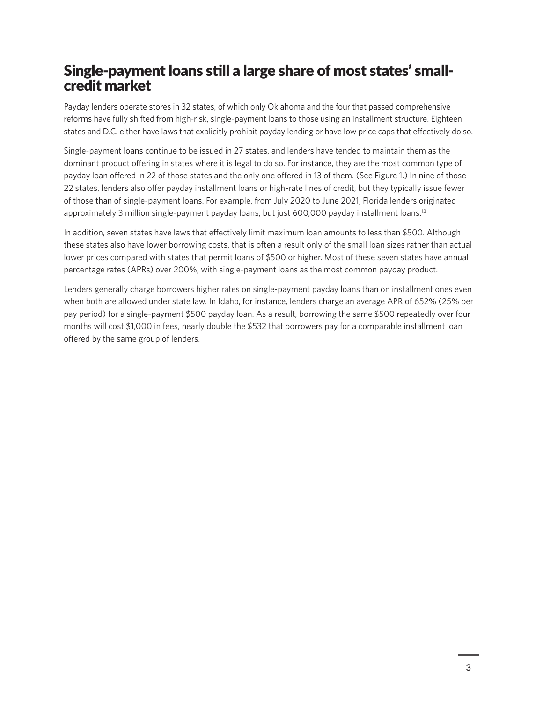### <span id="page-2-0"></span>Single-payment loans still a large share of most states' smallcredit market

Payday lenders operate stores in 32 states, of which only Oklahoma and the four that passed comprehensive reforms have fully shifted from high-risk, single-payment loans to those using an installment structure. Eighteen states and D.C. either have laws that explicitly prohibit payday lending or have low price caps that effectively do so.

Single-payment loans continue to be issued in 27 states, and lenders have tended to maintain them as the dominant product offering in states where it is legal to do so. For instance, they are the most common type of payday loan offered in 22 of those states and the only one offered in 13 of them. (See Figure 1.) In nine of those 22 states, lenders also offer payday installment loans or high-rate lines of credit, but they typically issue fewer of those than of single-payment loans. For example, from July 2020 to June 2021, Florida lenders originated approximately 3 million single-payment payday loans, but just 600,000 payday installment loans.<sup>12</sup>

In addition, seven states have laws that effectively limit maximum loan amounts to less than \$500. Although these states also have lower borrowing costs, that is often a result only of the small loan sizes rather than actual lower prices compared with states that permit loans of \$500 or higher. Most of these seven states have annual percentage rates (APRs) over 200%, with single-payment loans as the most common payday product.

Lenders generally charge borrowers higher rates on single-payment payday loans than on installment ones even when both are allowed under state law. In Idaho, for instance, lenders charge an average APR of 652% (25% per pay period) for a single-payment \$500 payday loan. As a result, borrowing the same \$500 repeatedly over four months will cost \$1,000 in fees, nearly double the \$532 that borrowers pay for a comparable installment loan offered by the same group of lenders.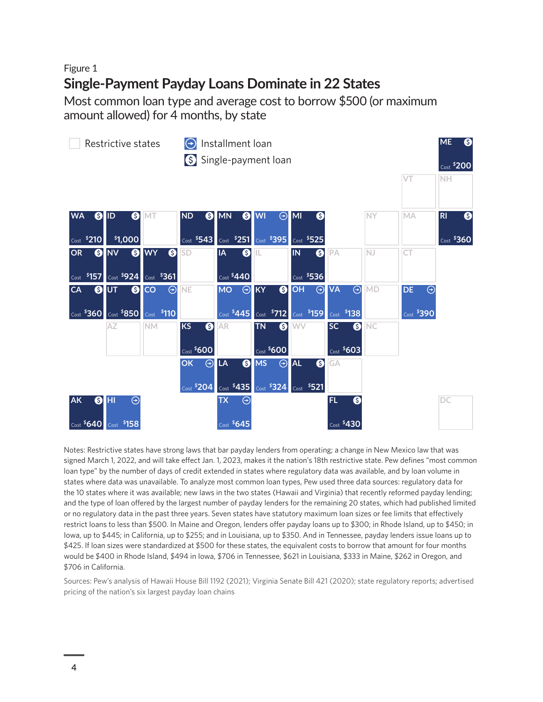#### Figure 1 **Single-Payment Payday Loans Dominate in 22 States**

Most common loan type and average cost to borrow \$500 (or maximum amount allowed) for 4 months, by state



Notes: Restrictive states have strong laws that bar payday lenders from operating; a change in New Mexico law that was signed March 1, 2022, and will take effect Jan. 1, 2023, makes it the nation's 18th restrictive state. Pew defines "most common loan type" by the number of days of credit extended in states where regulatory data was available, and by loan volume in states where data was unavailable. To analyze most common loan types, Pew used three data sources: regulatory data for the 10 states where it was available; new laws in the two states (Hawaii and Virginia) that recently reformed payday lending; and the type of loan offered by the largest number of payday lenders for the remaining 20 states, which had published limited or no regulatory data in the past three years. Seven states have statutory maximum loan sizes or fee limits that effectively restrict loans to less than \$500. In Maine and Oregon, lenders offer payday loans up to \$300; in Rhode Island, up to \$450; in Iowa, up to \$445; in California, up to \$255; and in Louisiana, up to \$350. And in Tennessee, payday lenders issue loans up to \$425. If loan sizes were standardized at \$500 for these states, the equivalent costs to borrow that amount for four months would be \$400 in Rhode Island, \$494 in Iowa, \$706 in Tennessee, \$621 in Louisiana, \$333 in Maine, \$262 in Oregon, and \$706 in California.

Sources: Pew's analysis of Hawaii House Bill 1192 (2021); Virginia Senate Bill 421 (2020); state regulatory reports; advertised pricing of the nation's six largest payday loan chains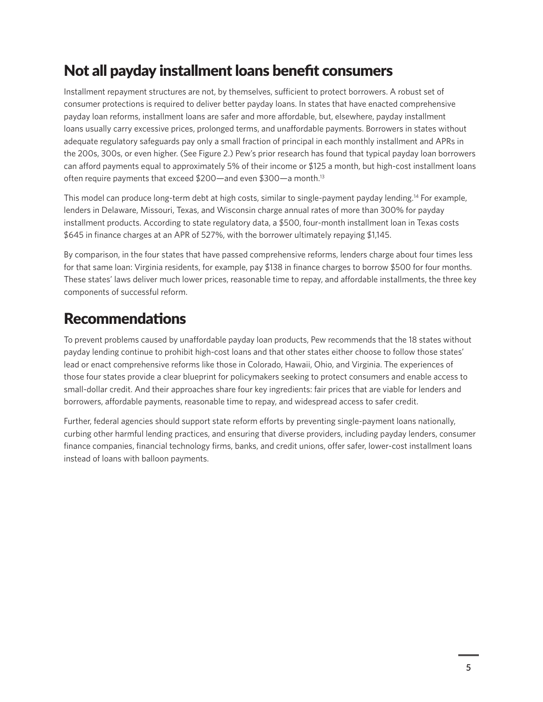# <span id="page-4-0"></span>Not all payday installment loans benefit consumers

Installment repayment structures are not, by themselves, sufficient to protect borrowers. A robust set of consumer protections is required to deliver better payday loans. In states that have enacted comprehensive payday loan reforms, installment loans are safer and more affordable, but, elsewhere, payday installment loans usually carry excessive prices, prolonged terms, and unaffordable payments. Borrowers in states without adequate regulatory safeguards pay only a small fraction of principal in each monthly installment and APRs in the 200s, 300s, or even higher. (See Figure 2.) Pew's prior research has found that typical payday loan borrowers can afford payments equal to approximately 5% of their income or \$125 a month, but high-cost installment loans often require payments that exceed \$200—and even \$300—a month[.13](#page-9-0)

This model can produce long-term debt at high costs, similar to single-payment payday lending.[14](#page-9-0) For example, lenders in Delaware, Missouri, Texas, and Wisconsin charge annual rates of more than 300% for payday installment products. According to state regulatory data, a \$500, four-month installment loan in Texas costs \$645 in finance charges at an APR of 527%, with the borrower ultimately repaying \$1,145.

By comparison, in the four states that have passed comprehensive reforms, lenders charge about four times less for that same loan: Virginia residents, for example, pay \$138 in finance charges to borrow \$500 for four months. These states' laws deliver much lower prices, reasonable time to repay, and affordable installments, the three key components of successful reform.

# Recommendations

To prevent problems caused by unaffordable payday loan products, Pew recommends that the 18 states without payday lending continue to prohibit high-cost loans and that other states either choose to follow those states' lead or enact comprehensive reforms like those in Colorado, Hawaii, Ohio, and Virginia. The experiences of those four states provide a clear blueprint for policymakers seeking to protect consumers and enable access to small-dollar credit. And their approaches share four key ingredients: fair prices that are viable for lenders and borrowers, affordable payments, reasonable time to repay, and widespread access to safer credit.

Further, federal agencies should support state reform efforts by preventing single-payment loans nationally, curbing other harmful lending practices, and ensuring that diverse providers, including payday lenders, consumer finance companies, financial technology firms, banks, and credit unions, offer safer, lower-cost installment loans instead of loans with balloon payments.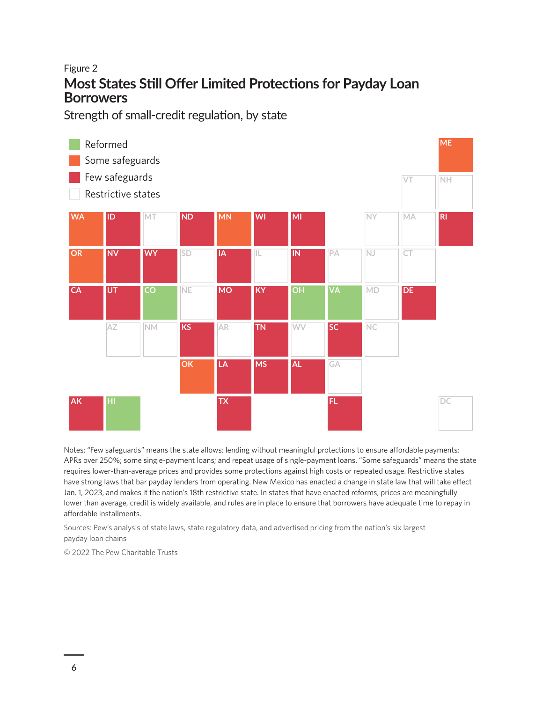#### Figure 2 **Most States Still Offer Limited Protections for Payday Loan Borrowers**

Strength of small-credit regulation, by state



Notes: "Few safeguards" means the state allows: lending without meaningful protections to ensure affordable payments; APRs over 250%; some single-payment loans; and repeat usage of single-payment loans. "Some safeguards" means the state requires lower-than-average prices and provides some protections against high costs or repeated usage. Restrictive states have strong laws that bar payday lenders from operating. New Mexico has enacted a change in state law that will take effect Jan. 1, 2023, and makes it the nation's 18th restrictive state. In states that have enacted reforms, prices are meaningfully lower than average, credit is widely available, and rules are in place to ensure that borrowers have adequate time to repay in affordable installments.

Sources: Pew's analysis of state laws, state regulatory data, and advertised pricing from the nation's six largest payday loan chains

© 2022 The Pew Charitable Trusts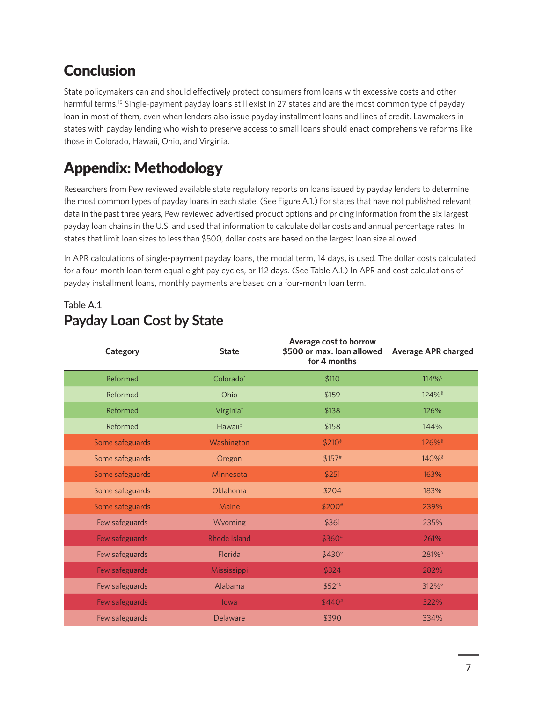# <span id="page-6-0"></span>**Conclusion**

State policymakers can and should effectively protect consumers from loans with excessive costs and other harmful terms.<sup>[15](#page-9-0)</sup> Single-payment payday loans still exist in 27 states and are the most common type of payday loan in most of them, even when lenders also issue payday installment loans and lines of credit. Lawmakers in states with payday lending who wish to preserve access to small loans should enact comprehensive reforms like those in Colorado, Hawaii, Ohio, and Virginia.

# Appendix: Methodology

Researchers from Pew reviewed available state regulatory reports on loans issued by payday lenders to determine the most common types of payday loans in each state. (See Figure A.1.) For states that have not published relevant data in the past three years, Pew reviewed advertised product options and pricing information from the six largest payday loan chains in the U.S. and used that information to calculate dollar costs and annual percentage rates. In states that limit loan sizes to less than \$500, dollar costs are based on the largest loan size allowed.

In APR calculations of single-payment payday loans, the modal term, 14 days, is used. The dollar costs calculated for a four-month loan term equal eight pay cycles, or 112 days. (See Table A.1.) In APR and cost calculations of payday installment loans, monthly payments are based on a four-month loan term.

| Category        | <b>State</b>          | Average cost to borrow<br>\$500 or max. loan allowed<br>for 4 months | <b>Average APR charged</b> |
|-----------------|-----------------------|----------------------------------------------------------------------|----------------------------|
| Reformed        | Colorado <sup>*</sup> | \$110                                                                | $114\%$ <sup>§</sup>       |
| Reformed        | Ohio                  | \$159                                                                | $124\%$ <sup>§</sup>       |
| Reformed        | Virginia <sup>†</sup> | \$138                                                                | 126%                       |
| Reformed        | Hawaii <sup>#</sup>   | \$158                                                                | 144%                       |
| Some safeguards | Washington            | \$210 <sup>\$</sup>                                                  | 126% <sup>§</sup>          |
| Some safeguards | Oregon                | $$157^{\#}$                                                          | 140% <sup>§</sup>          |
| Some safeguards | Minnesota             | \$251                                                                | 163%                       |
| Some safeguards | Oklahoma              | \$204                                                                | 183%                       |
| Some safeguards | Maine                 | \$200#                                                               | 239%                       |
| Few safeguards  | Wyoming               | \$361                                                                | 235%                       |
| Few safeguards  | Rhode Island          | $$360*$                                                              | 261%                       |
| Few safeguards  | Florida               | \$430 <sup>s</sup>                                                   | 281% <sup>§</sup>          |
| Few safeguards  | Mississippi           | \$324                                                                | 282%                       |
| Few safeguards  | Alabama               | $$521$ <sup>\$</sup>                                                 | $312\%$ <sup>§</sup>       |
| Few safeguards  | lowa                  | \$440#                                                               | 322%                       |
| Few safeguards  | Delaware              | \$390                                                                | 334%                       |

#### Table A.1 **Payday Loan Cost by State**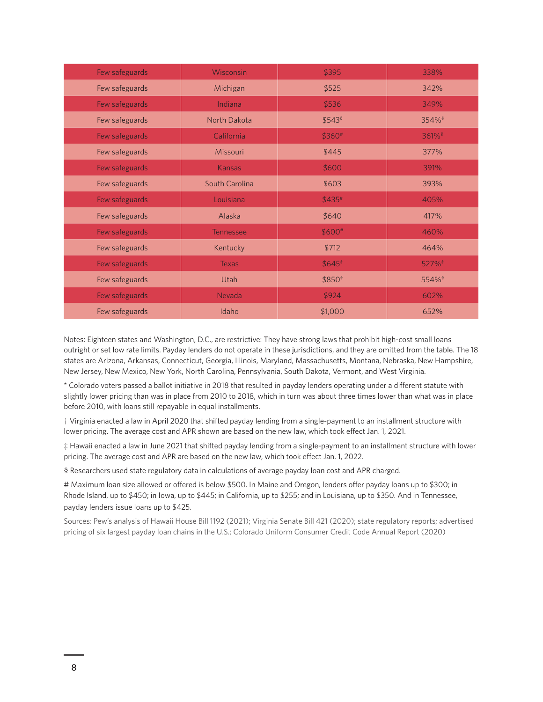| Few safeguards | Wisconsin        | \$395               | 338%                 |
|----------------|------------------|---------------------|----------------------|
| Few safeguards | Michigan         | \$525               | 342%                 |
| Few safeguards | Indiana          | \$536               | 349%                 |
| Few safeguards | North Dakota     | \$543               | $354\%$ <sup>§</sup> |
| Few safeguards | California       | \$360#              | $361\%$ <sup>§</sup> |
| Few safeguards | Missouri         | \$445               | 377%                 |
| Few safeguards | <b>Kansas</b>    | \$600               | 391%                 |
| Few safeguards | South Carolina   | \$603               | 393%                 |
| Few safeguards | Louisiana        | \$435#              | 405%                 |
| Few safeguards | Alaska           | \$640               | 417%                 |
| Few safeguards | <b>Tennessee</b> | \$600#              | 460%                 |
| Few safeguards | Kentucky         | \$712               | 464%                 |
| Few safeguards | <b>Texas</b>     | $$645$ <sup>§</sup> | 527% <sup>§</sup>    |
| Few safeguards | <b>Utah</b>      | \$850 <sup>\$</sup> | 554% <sup>§</sup>    |
| Few safeguards | Nevada           | \$924               | 602%                 |
| Few safeguards | Idaho            | \$1,000             | 652%                 |

Notes: Eighteen states and Washington, D.C., are restrictive: They have strong laws that prohibit high-cost small loans outright or set low rate limits. Payday lenders do not operate in these jurisdictions, and they are omitted from the table. The 18 states are Arizona, Arkansas, Connecticut, Georgia, Illinois, Maryland, Massachusetts, Montana, Nebraska, New Hampshire, New Jersey, New Mexico, New York, North Carolina, Pennsylvania, South Dakota, Vermont, and West Virginia.

\* Colorado voters passed a ballot initiative in 2018 that resulted in payday lenders operating under a different statute with slightly lower pricing than was in place from 2010 to 2018, which in turn was about three times lower than what was in place before 2010, with loans still repayable in equal installments.

† Virginia enacted a law in April 2020 that shifted payday lending from a single-payment to an installment structure with lower pricing. The average cost and APR shown are based on the new law, which took effect Jan. 1, 2021.

‡ Hawaii enacted a law in June 2021 that shifted payday lending from a single-payment to an installment structure with lower pricing. The average cost and APR are based on the new law, which took effect Jan. 1, 2022.

§ Researchers used state regulatory data in calculations of average payday loan cost and APR charged.

# Maximum loan size allowed or offered is below \$500. In Maine and Oregon, lenders offer payday loans up to \$300; in Rhode Island, up to \$450; in Iowa, up to \$445; in California, up to \$255; and in Louisiana, up to \$350. And in Tennessee, payday lenders issue loans up to \$425.

Sources: Pew's analysis of Hawaii House Bill 1192 (2021); Virginia Senate Bill 421 (2020); state regulatory reports; advertised pricing of six largest payday loan chains in the U.S.; Colorado Uniform Consumer Credit Code Annual Report (2020)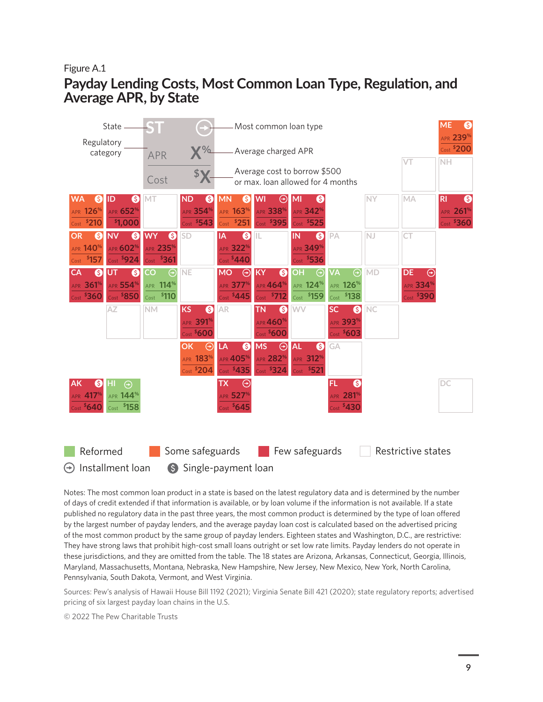Figure A.1 **Payday Lending Costs, Most Common Loan Type, Regulation, and Average APR, by State**



Notes: The most common loan product in a state is based on the latest regulatory data and is determined by the number of days of credit extended if that information is available, or by loan volume if the information is not available. If a state published no regulatory data in the past three years, the most common product is determined by the type of loan offered by the largest number of payday lenders, and the average payday loan cost is calculated based on the advertised pricing of the most common product by the same group of payday lenders. Eighteen states and Washington, D.C., are restrictive: They have strong laws that prohibit high-cost small loans outright or set low rate limits. Payday lenders do not operate in these jurisdictions, and they are omitted from the table. The 18 states are Arizona, Arkansas, Connecticut, Georgia, Illinois, Maryland, Massachusetts, Montana, Nebraska, New Hampshire, New Jersey, New Mexico, New York, North Carolina, Pennsylvania, South Dakota, Vermont, and West Virginia.

Sources: Pew's analysis of Hawaii House Bill 1192 (2021); Virginia Senate Bill 421 (2020); state regulatory reports; advertised pricing of six largest payday loan chains in the U.S.

© 2022 The Pew Charitable Trusts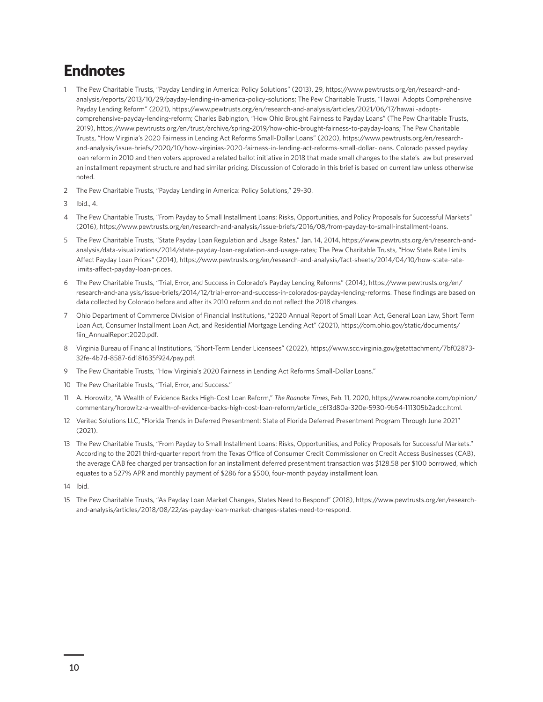# <span id="page-9-0"></span>**Endnotes**

- 1 [T](#page-0-0)he Pew Charitable Trusts, "Payday Lending in America: Policy Solutions" (2013), 29, https://www.pewtrusts.org/en/research-andanalysis/reports/2013/10/29/payday-lending-in-america-policy-solutions; The Pew Charitable Trusts, "Hawaii Adopts Comprehensive Payday Lending Reform" (2021), https://www.pewtrusts.org/en/research-and-analysis/articles/2021/06/17/hawaii-adoptscomprehensive-payday-lending-reform; Charles Babington, "How Ohio Brought Fairness to Payday Loans" (The Pew Charitable Trusts, 2019), https://www.pewtrusts.org/en/trust/archive/spring-2019/how-ohio-brought-fairness-to-payday-loans; The Pew Charitable Trusts, "How Virginia's 2020 Fairness in Lending Act Reforms Small-Dollar Loans" (2020), https://www.pewtrusts.org/en/researchand-analysis/issue-briefs/2020/10/how-virginias-2020-fairness-in-lending-act-reforms-small-dollar-loans. Colorado passed payday loan reform in 2010 and then voters approved a related ballot initiative in 2018 that made small changes to the state's law but preserved an installment repayment structure and had similar pricing. Discussion of Colorado in this brief is based on current law unless otherwise noted.
- 2 [T](#page-0-0)he Pew Charitable Trusts, "Payday Lending in America: Policy Solutions," 29-30.
- 3 [I](#page-0-0)bid., 4.
- 4 [T](#page-0-0)he Pew Charitable Trusts, "From Payday to Small Installment Loans: Risks, Opportunities, and Policy Proposals for Successful Markets" (2016), https://www.pewtrusts.org/en/research-and-analysis/issue-briefs/2016/08/from-payday-to-small-installment-loans.
- 5 [T](#page-0-0)he Pew Charitable Trusts, "State Payday Loan Regulation and Usage Rates," Jan. 14, 2014, https://www.pewtrusts.org/en/research-andanalysis/data-visualizations/2014/state-payday-loan-regulation-and-usage-rates; The Pew Charitable Trusts, "How State Rate Limits Affect Payday Loan Prices" (2014), https://www.pewtrusts.org/en/research-and-analysis/fact-sheets/2014/04/10/how-state-ratelimits-affect-payday-loan-prices.
- 6 [T](#page-1-0)he Pew Charitable Trusts, "Trial, Error, and Success in Colorado's Payday Lending Reforms" (2014), [https://www.pewtrusts.org/en/](https://www.pewtrusts.org/en/research-and-analysis/issue-briefs/2014/12/trial-error-and-success-in-colorados-payday-lending-reforms) [research-and-analysis/issue-briefs/2014/12/trial-error-and-success-in-colorados-payday-lending-reforms](https://www.pewtrusts.org/en/research-and-analysis/issue-briefs/2014/12/trial-error-and-success-in-colorados-payday-lending-reforms). These findings are based on data collected by Colorado before and after its 2010 reform and do not reflect the 2018 changes.
- 7 [Oh](#page-1-0)io Department of Commerce Division of Financial Institutions, "2020 Annual Report of Small Loan Act, General Loan Law, Short Term Loan Act, Consumer Installment Loan Act, and Residential Mortgage Lending Act" (2021), [https://com.ohio.gov/static/documents/](https://com.ohio.gov/static/documents/fiin_AnnualReport2020.pdf) [fiin\\_AnnualReport2020.pdf.](https://com.ohio.gov/static/documents/fiin_AnnualReport2020.pdf)
- 8 [V](#page-1-0)irginia Bureau of Financial Institutions, "Short-Term Lender Licensees" (2022), https://www.scc.virginia.gov/getattachment/7bf02873- 32fe-4b7d-8587-6d181635f924/pay.pdf.
- 9 [T](#page-1-0)he Pew Charitable Trusts, "How Virginia's 2020 Fairness in Lending Act Reforms Small-Dollar Loans."
- 10 [T](#page-1-0)he Pew Charitable Trusts, "Trial, Error, and Success."
- 11 [A.](#page-1-0) Horowitz, "A Wealth of Evidence Backs High-Cost Loan Reform," *The Roanoke Times*, Feb. 11, 2020, [https://www.roanoke.com/opinion/](https://www.roanoke.com/opinion/commentary/horowitz-a-wealth-of-evidence-backs-high-cost-loan-reform/article_c6f3d80a-320e-5930-9b54-111305b2adcc.html) [commentary/horowitz-a-wealth-of-evidence-backs-high-cost-loan-reform/article\\_c6f3d80a-320e-5930-9b54-111305b2adcc.html.](https://www.roanoke.com/opinion/commentary/horowitz-a-wealth-of-evidence-backs-high-cost-loan-reform/article_c6f3d80a-320e-5930-9b54-111305b2adcc.html)
- 12 [Ve](#page-2-0)ritec Solutions LLC, "Florida Trends in Deferred Presentment: State of Florida Deferred Presentment Program Through June 2021" (2021).
- 13 [T](#page-4-0)he Pew Charitable Trusts, "From Payday to Small Installment Loans: Risks, Opportunities, and Policy Proposals for Successful Markets." According to the 2021 third-quarter report from the Texas Office of Consumer Credit Commissioner on Credit Access Businesses (CAB), the average CAB fee charged per transaction for an installment deferred presentment transaction was \$128.58 per \$100 borrowed, which equates to a 527% APR and monthly payment of \$286 for a \$500, four-month payday installment loan.
- 14 [I](#page-4-0)bid.
- 15 [T](#page-6-0)he Pew Charitable Trusts, "As Payday Loan Market Changes, States Need to Respond" (2018), https://www.pewtrusts.org/en/researchand-analysis/articles/2018/08/22/as-payday-loan-market-changes-states-need-to-respond.